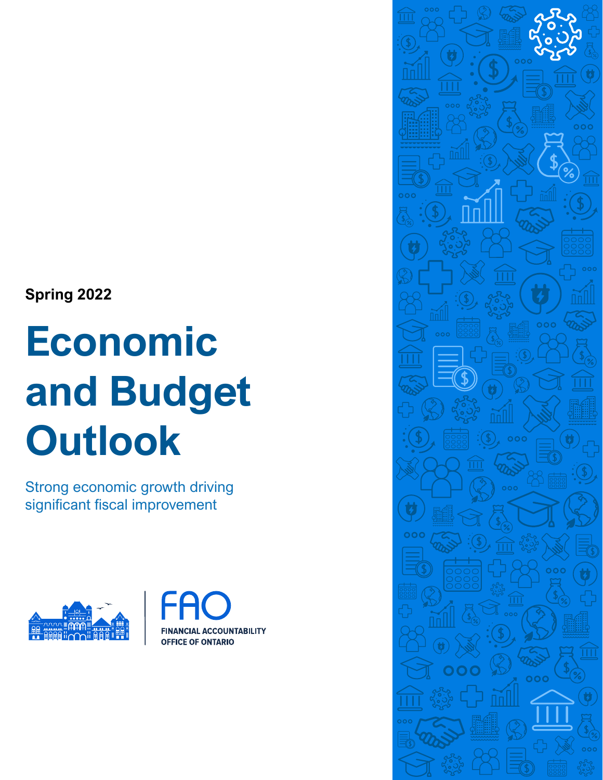**Spring 2022**

# **Economic and Budget Outlook**

Strong economic growth driving significant fiscal improvement





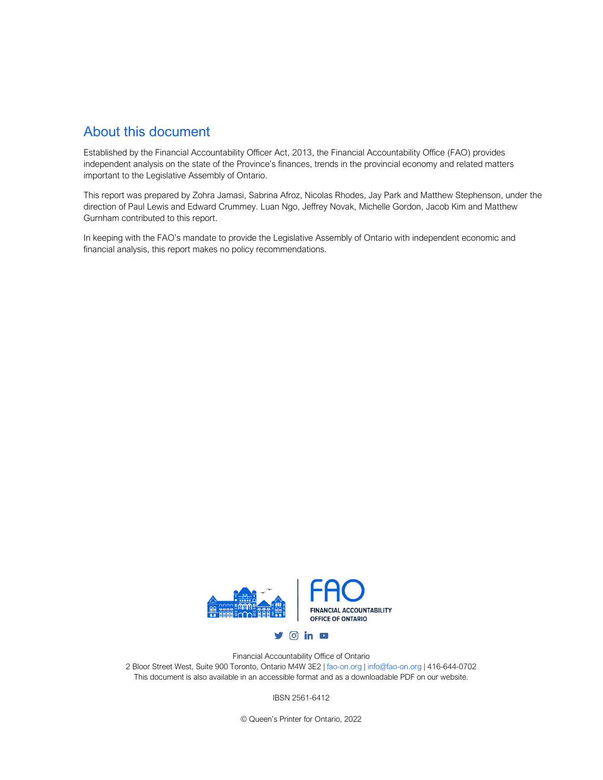### About this document

Established by the Financial Accountability Officer Act, 2013, the Financial Accountability Office (FAO) provides independent analysis on the state of the Province's finances, trends in the provincial economy and related matters important to the Legislative Assembly of Ontario.

This report was prepared by Zohra Jamasi, Sabrina Afroz, Nicolas Rhodes, Jay Park and Matthew Stephenson, under the direction of Paul Lewis and Edward Crummey. Luan Ngo, Jeffrey Novak, Michelle Gordon, Jacob Kim and Matthew Gurnham contributed to this report.

In keeping with the FAO's mandate to provide the Legislative Assembly of Ontario with independent economic and financial analysis, this report makes no policy recommendations.



Financial Accountability Office of Ontario 2 Bloor Street West, Suite 900 Toronto, Ontario M4W 3E2 [| fao-on.org](https://www.fao-on.org/) [| info@fao-on.org](mailto:info@fao-on.org) | 416-644-0702 This document is also available in an accessible format and as a downloadable PDF on our website.

IBSN 2561-6412

© Queen's Printer for Ontario, 2022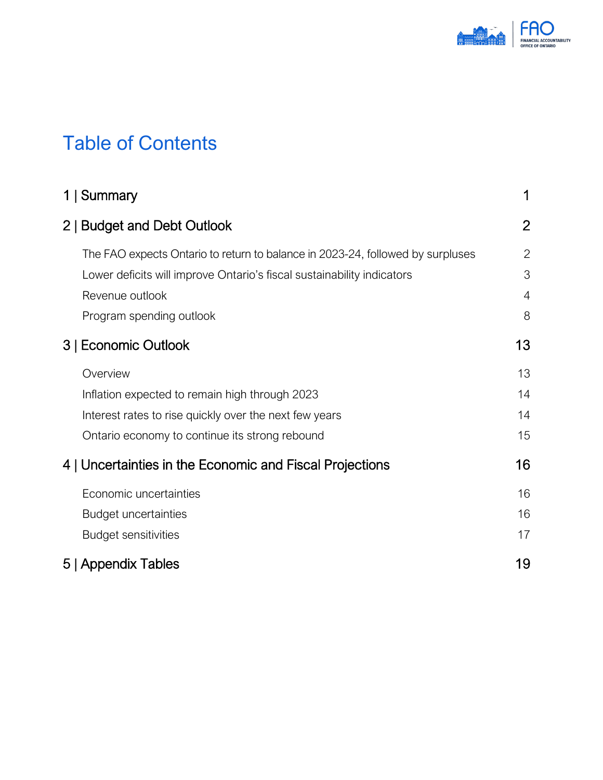

# Table of Contents

| 1   Summary                                                                    | 1              |
|--------------------------------------------------------------------------------|----------------|
| 2   Budget and Debt Outlook                                                    | $\overline{2}$ |
| The FAO expects Ontario to return to balance in 2023-24, followed by surpluses | $\overline{2}$ |
| Lower deficits will improve Ontario's fiscal sustainability indicators         | 3              |
| Revenue outlook                                                                | $\overline{4}$ |
| Program spending outlook                                                       | 8              |
| 3   Economic Outlook                                                           | 13             |
| Overview                                                                       | 13             |
| Inflation expected to remain high through 2023                                 | 14             |
| Interest rates to rise quickly over the next few years                         | 14             |
| Ontario economy to continue its strong rebound                                 | 15             |
| 4   Uncertainties in the Economic and Fiscal Projections                       | 16             |
| Economic uncertainties                                                         | 16             |
| <b>Budget uncertainties</b>                                                    | 16             |
| <b>Budget sensitivities</b>                                                    | 17             |
| 5   Appendix Tables                                                            | 19             |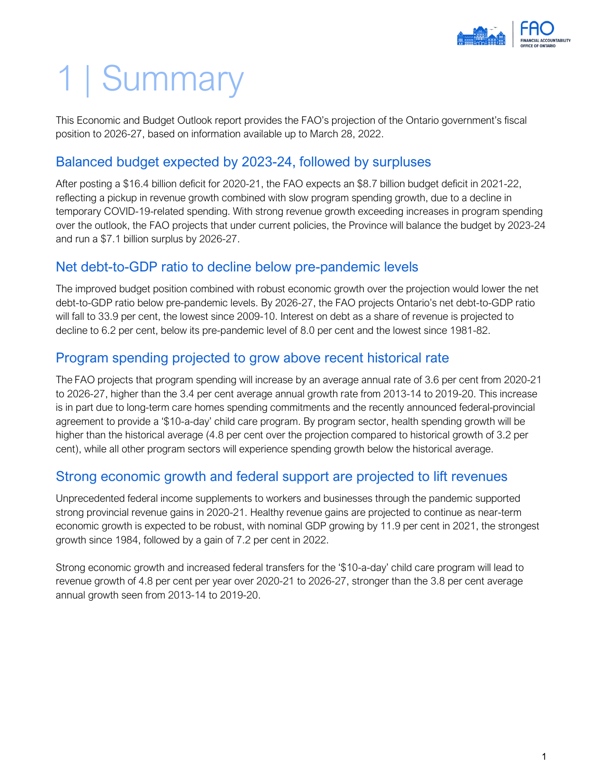

# <span id="page-3-0"></span>1 | Summary

This Economic and Budget Outlook report provides the FAO's projection of the Ontario government's fiscal position to 2026-27, based on information available up to March 28, 2022.

## Balanced budget expected by 2023-24, followed by surpluses

After posting a \$16.4 billion deficit for 2020-21, the FAO expects an \$8.7 billion budget deficit in 2021-22, reflecting a pickup in revenue growth combined with slow program spending growth, due to a decline in temporary COVID-19-related spending. With strong revenue growth exceeding increases in program spending over the outlook, the FAO projects that under current policies, the Province will balance the budget by 2023-24 and run a \$7.1 billion surplus by 2026-27.

## Net debt-to-GDP ratio to decline below pre-pandemic levels

The improved budget position combined with robust economic growth over the projection would lower the net debt-to-GDP ratio below pre-pandemic levels. By 2026-27, the FAO projects Ontario's net debt-to-GDP ratio will fall to 33.9 per cent, the lowest since 2009-10. Interest on debt as a share of revenue is projected to decline to 6.2 per cent, below its pre-pandemic level of 8.0 per cent and the lowest since 1981-82.

## Program spending projected to grow above recent historical rate

The FAO projects that program spending will increase by an average annual rate of 3.6 per cent from 2020-21 to 2026-27, higher than the 3.4 per cent average annual growth rate from 2013-14 to 2019-20. This increase is in part due to long-term care homes spending commitments and the recently announced federal-provincial agreement to provide a '\$10-a-day' child care program. By program sector, health spending growth will be higher than the historical average (4.8 per cent over the projection compared to historical growth of 3.2 per cent), while all other program sectors will experience spending growth below the historical average.

### Strong economic growth and federal support are projected to lift revenues

Unprecedented federal income supplements to workers and businesses through the pandemic supported strong provincial revenue gains in 2020-21. Healthy revenue gains are projected to continue as near-term economic growth is expected to be robust, with nominal GDP growing by 11.9 per cent in 2021, the strongest growth since 1984, followed by a gain of 7.2 per cent in 2022.

Strong economic growth and increased federal transfers for the '\$10-a-day' child care program will lead to revenue growth of 4.8 per cent per year over 2020-21 to 2026-27, stronger than the 3.8 per cent average annual growth seen from 2013-14 to 2019-20.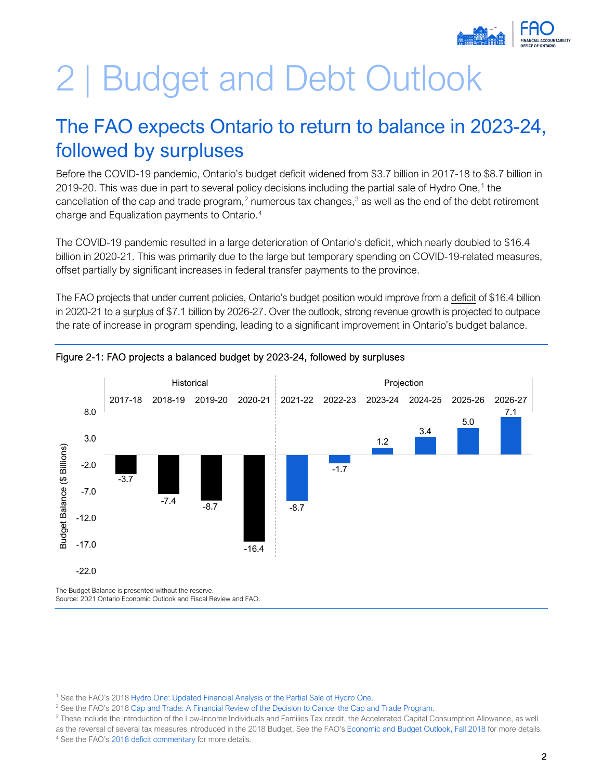

# <span id="page-4-0"></span>2 | Budget and Debt Outlook

# <span id="page-4-1"></span>The FAO expects Ontario to return to balance in 2023-24, followed by surpluses

Before the COVID-19 pandemic, Ontario's budget deficit widened from \$3.7 billion in 2017-18 to \$8.7 billion in 2019-20. This was due in part to several policy decisions including the partial sale of Hydro One, [1](#page-4-2) the cancellation of the cap and trade program,<sup>2</sup> numerous tax changes,<sup>[3](#page-4-4)</sup> as well as the end of the debt retirement charge and Equalization payments to Ontario. [4](#page-4-5)

The COVID-19 pandemic resulted in a large deterioration of Ontario's deficit, which nearly doubled to \$16.4 billion in 2020-21. This was primarily due to the large but temporary spending on COVID-19-related measures, offset partially by significant increases in federal transfer payments to the province.

The FAO projects that under current policies, Ontario's budget position would improve from a deficit of \$16.4 billion in 2020-21 to a surplus of \$7.1 billion by 2026-27. Over the outlook, strong revenue growth is projected to outpace the rate of increase in program spending, leading to a significant improvement in Ontario's budget balance.



#### Figure 2-1: FAO projects a balanced budget by 2023-24, followed by surpluses

Source: 2021 Ontario Economic Outlook and Fiscal Review and FAO.

<span id="page-4-2"></span><sup>&</sup>lt;sup>1</sup> See the FAO's 201[8 Hydro One: Updated Financial Analysis of the Partial Sale of Hydro One.](https://www.fao-on.org/en/Blog/Publications/hydro-one-update)<br><sup>2</sup> See the FAO's 2018 Can and Trade: A Financial Beview of the Decision to Cancel the Can an

<span id="page-4-4"></span><span id="page-4-3"></span><sup>&</sup>lt;sup>2</sup> See the FAO's 2018 Cap and [Trade: A Financial Review of the Decision to Cancel the Cap and Trade Program.](https://www.fao-on.org/en/Blog/Publications/cap-and-trade-ending)<br><sup>3</sup> These include the introduction of the Low-Income Individuals and Families Tax credit, the Accelerated Capita as the reversal of several tax measures introduced in the 2018 Budget. See the FAO'[s Economic and Budget Outlook, Fall 2018](https://www.fao-on.org/en/Blog/Publications/EBO-fall-18#_ftnref29) for more details.

<span id="page-4-5"></span><sup>4</sup> See the FAO'[s 2018 deficit commentary](https://www.fao-on.org/web/default/files/publications/2018%20deficit%20commentary%20Oct%202019/Images/2018%20deficit%20commentary.pdf) for more details.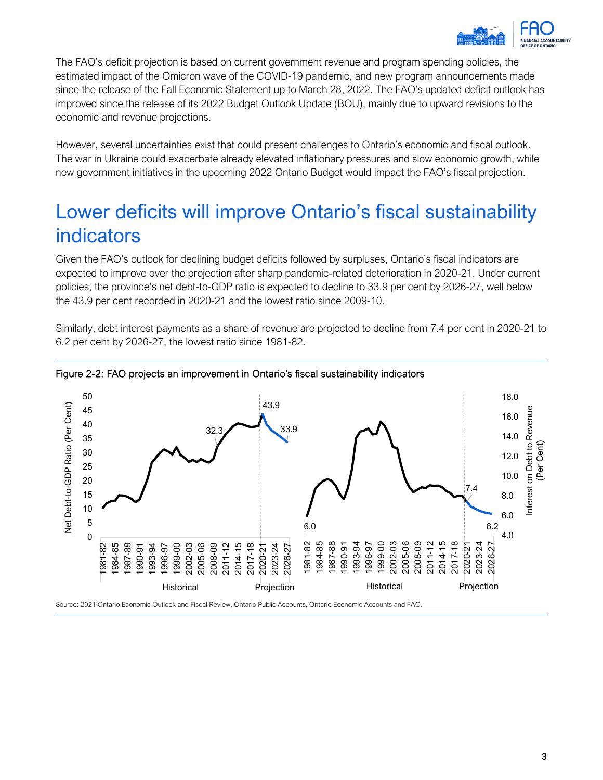

The FAO's deficit projection is based on current government revenue and program spending policies, the estimated impact of the Omicron wave of the COVID-19 pandemic, and new program announcements made since the release of the Fall Economic Statement up to March 28, 2022. The FAO's updated deficit outlook has improved since the release of its 2022 Budget Outlook Update (BOU), mainly due to upward revisions to the economic and revenue projections.

However, several uncertainties exist that could present challenges to Ontario's economic and fiscal outlook. The war in Ukraine could exacerbate already elevated inflationary pressures and slow economic growth, while new government initiatives in the upcoming 2022 Ontario Budget would impact the FAO's fiscal projection.

# <span id="page-5-0"></span>Lower deficits will improve Ontario's fiscal sustainability indicators

Given the FAO's outlook for declining budget deficits followed by surpluses, Ontario's fiscal indicators are expected to improve over the projection after sharp pandemic-related deterioration in 2020-21. Under current policies, the province's net debt-to-GDP ratio is expected to decline to 33.9 per cent by 2026-27, well below the 43.9 per cent recorded in 2020-21 and the lowest ratio since 2009-10.

Similarly, debt interest payments as a share of revenue are projected to decline from 7.4 per cent in 2020-21 to 6.2 per cent by 2026-27, the lowest ratio since 1981-82.



#### Figure 2-2: FAO projects an improvement in Ontario's fiscal sustainability indicators

Source: 2021 Ontario Economic Outlook and Fiscal Review, Ontario Public Accounts, Ontario Economic Accounts and FAO.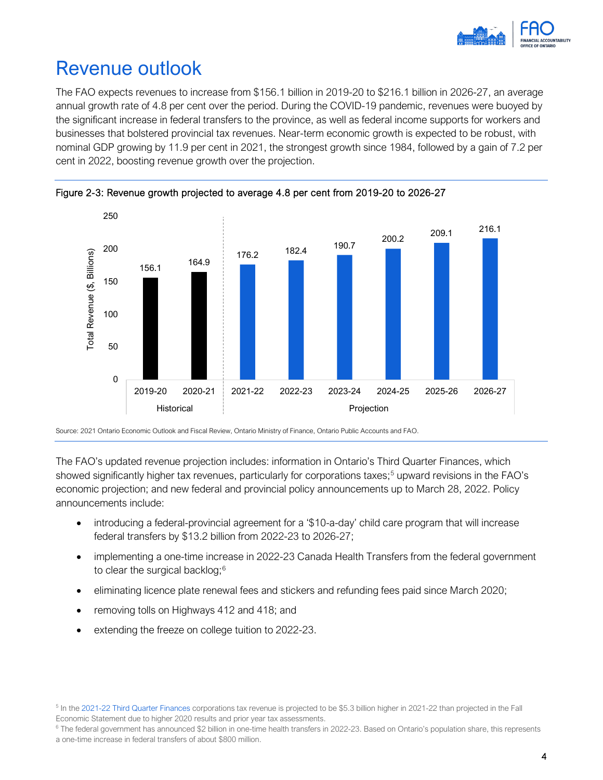

## <span id="page-6-0"></span>Revenue outlook

The FAO expects revenues to increase from \$156.1 billion in 2019-20 to \$216.1 billion in 2026-27, an average annual growth rate of 4.8 per cent over the period. During the COVID-19 pandemic, revenues were buoyed by the significant increase in federal transfers to the province, as well as federal income supports for workers and businesses that bolstered provincial tax revenues. Near-term economic growth is expected to be robust, with nominal GDP growing by 11.9 per cent in 2021, the strongest growth since 1984, followed by a gain of 7.2 per cent in 2022, boosting revenue growth over the projection.





Source: 2021 Ontario Economic Outlook and Fiscal Review, Ontario Ministry of Finance, Ontario Public Accounts and FAO.

The FAO's updated revenue projection includes: information in Ontario's Third Quarter Finances, which showed significantly higher tax revenues, particularly for corporations taxes;<sup>[5](#page-6-1)</sup> upward revisions in the FAO's economic projection; and new federal and provincial policy announcements up to March 28, 2022. Policy announcements include:

- introducing a federal-provincial agreement for a '\$10-a-day' child care program that will increase federal transfers by \$13.2 billion from 2022-23 to 2026-27;
- implementing a one-time increase in 2022-23 Canada Health Transfers from the federal government to clear the surgical backlog;<sup>[6](#page-6-2)</sup>
- eliminating licence plate renewal fees and stickers and refunding fees paid since March 2020;
- removing tolls on Highways 412 and 418; and
- extending the freeze on college tuition to 2022-23.

<span id="page-6-1"></span><sup>5</sup> In the [2021-22 Third Quarter Finances c](https://www.ontario.ca/page/2021-22-third-quarter-finances)orporations tax revenue is projected to be \$5.3 billion higher in 2021-22 than projected in the Fall Economic Statement due to higher 2020 results and prior year tax assessments.<br><sup>6</sup> The federal government has announced \$2 billion in one-time health transfers in 2022-23. Based on Ontario's population share, this represent

<span id="page-6-2"></span>a one-time increase in federal transfers of about \$800 million.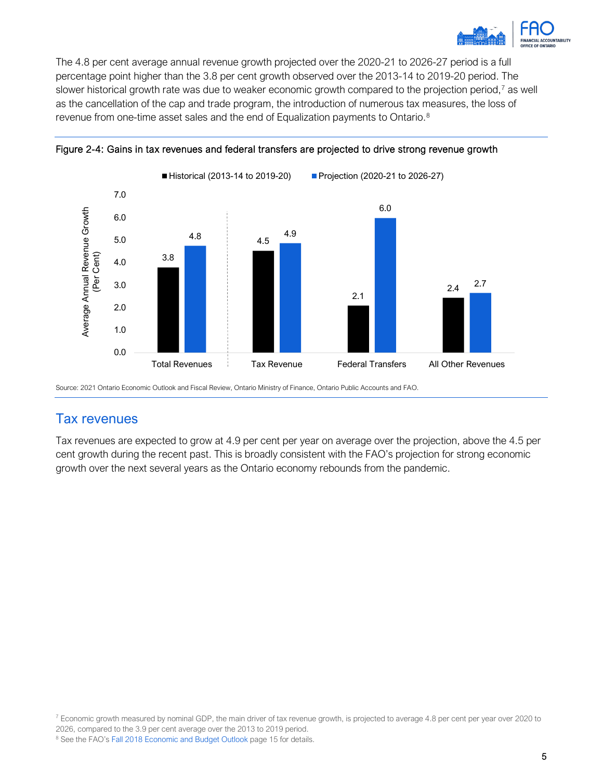

The 4.8 per cent average annual revenue growth projected over the 2020-21 to 2026-27 period is a full percentage point higher than the 3.8 per cent growth observed over the 2013-14 to 2019-20 period. The slower historical growth rate was due to weaker economic growth compared to the projection period,<sup>[7](#page-7-0)</sup> as well as the cancellation of the cap and trade program, the introduction of numerous tax measures, the loss of revenue from one-time asset sales and the end of Equalization payments to Ontario.<sup>8</sup>





Source: 2021 Ontario Economic Outlook and Fiscal Review, Ontario Ministry of Finance, Ontario Public Accounts and FAO.

## Tax revenues

Tax revenues are expected to grow at 4.9 per cent per year on average over the projection, above the 4.5 per cent growth during the recent past. This is broadly consistent with the FAO's projection for strong economic growth over the next several years as the Ontario economy rebounds from the pandemic.

<span id="page-7-1"></span>2026, compared to the 3.9 per cent average over the 2013 to 2019 period. <sup>8</sup> See the FAO'[s Fall 2018 Economic and Budget Outlook](https://www.fao-on.org/web/default/files/publications/EBO%20Fall%202018/Fall%202018%20EBO%20EN.pdf) page 15 for details.

<span id="page-7-0"></span> $^7$  Economic growth measured by nominal GDP, the main driver of tax revenue growth, is projected to average 4.8 per cent per year over 2020 to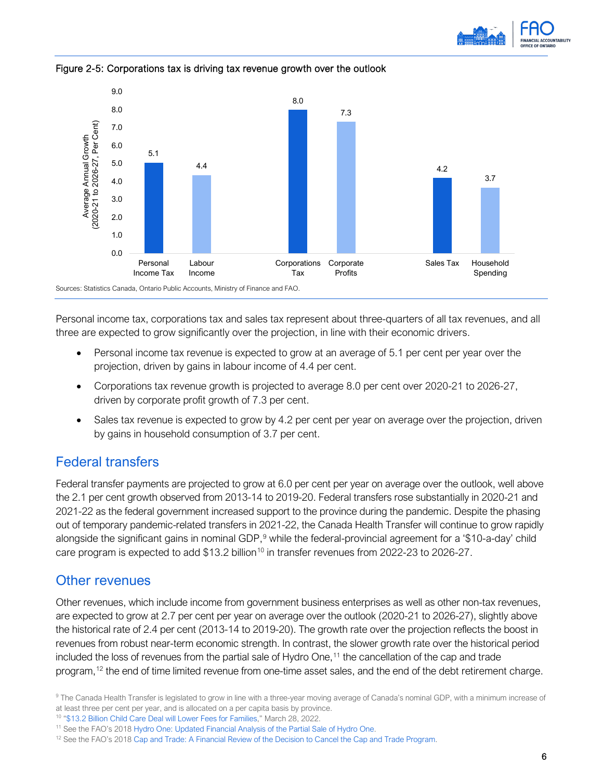



Figure 2-5: Corporations tax is driving tax revenue growth over the outlook

Personal income tax, corporations tax and sales tax represent about three-quarters of all tax revenues, and all three are expected to grow significantly over the projection, in line with their economic drivers.

- Personal income tax revenue is expected to grow at an average of 5.1 per cent per year over the projection, driven by gains in labour income of 4.4 per cent.
- Corporations tax revenue growth is projected to average 8.0 per cent over 2020-21 to 2026-27, driven by corporate profit growth of 7.3 per cent.
- Sales tax revenue is expected to grow by 4.2 per cent per year on average over the projection, driven by gains in household consumption of 3.7 per cent.

### Federal transfers

Federal transfer payments are projected to grow at 6.0 per cent per year on average over the outlook, well above the 2.1 per cent growth observed from 2013-14 to 2019-20. Federal transfers rose substantially in 2020-21 and 2021-22 as the federal government increased support to the province during the pandemic. Despite the phasing out of temporary pandemic-related transfers in 2021-22, the Canada Health Transfer will continue to grow rapidly alongside the significant gains in nominal GDP,<sup>[9](#page-8-0)</sup> while the federal-provincial agreement for a '\$10-a-day' child care program is expected to add \$13.2 billion<sup>[10](#page-8-1)</sup> in transfer revenues from 2022-23 to 2026-27.

### Other revenues

Other revenues, which include income from government business enterprises as well as other non-tax revenues, are expected to grow at 2.7 per cent per year on average over the outlook (2020-21 to 2026-27), slightly above the historical rate of 2.4 per cent (2013-14 to 2019-20). The growth rate over the projection reflects the boost in revenues from robust near-term economic strength. In contrast, the slower growth rate over the historical period included the loss of revenues from the partial sale of Hydro One,<sup>11</sup> the cancellation of the cap and trade program,<sup>[12](#page-8-3)</sup> the end of time limited revenue from one-time asset sales, and the end of the debt retirement charge.

<span id="page-8-0"></span><sup>9</sup> The Canada Health Transfer is legislated to grow in line with a three-year moving average of Canada's nominal GDP, with a minimum increase of at least three per cent per year, and is allocated on a per capita basis by province.<br><sup>10</sup> ["\\$13.2 Billion Child Care Deal will Lower Fees for Families,"](https://news.ontario.ca/en/release/1001868/132-billion-child-care-deal-will-lower-fees-for-families) March 28, 2022.

<span id="page-8-1"></span>

<span id="page-8-3"></span><span id="page-8-2"></span><sup>&</sup>lt;sup>11</sup> See the FAO's 2018 [Hydro One: Updated Financial Analysis of the Partial Sale of Hydro One.](https://www.fao-on.org/en/Blog/Publications/hydro-one-update)<br><sup>12</sup> See the FAO's 2018 [Cap and Trade: A Financial Review of the Decision to Cancel the Cap and Trade Program.](https://www.fao-on.org/en/Blog/Publications/cap-and-trade-ending)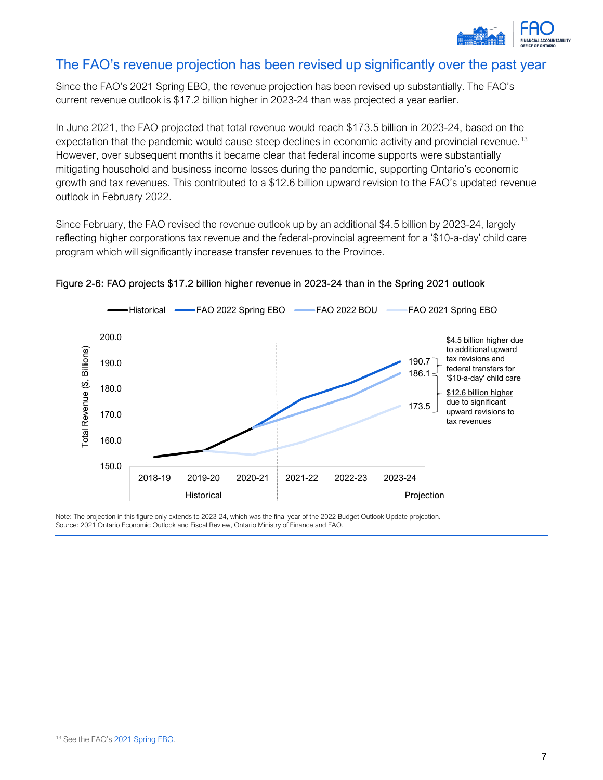

### The FAO's revenue projection has been revised up significantly over the past year

Since the FAO's 2021 Spring EBO, the revenue projection has been revised up substantially. The FAO's current revenue outlook is \$17.2 billion higher in 2023-24 than was projected a year earlier.

In June 2021, the FAO projected that total revenue would reach \$173.5 billion in 2023-24, based on the expectation that the pandemic would cause steep declines in economic activity and provincial revenue.<sup>[13](#page-9-0)</sup> However, over subsequent months it became clear that federal income supports were substantially mitigating household and business income losses during the pandemic, supporting Ontario's economic growth and tax revenues. This contributed to a \$12.6 billion upward revision to the FAO's updated revenue outlook in February 2022.

Since February, the FAO revised the revenue outlook up by an additional \$4.5 billion by 2023-24, largely reflecting higher corporations tax revenue and the federal-provincial agreement for a '\$10-a-day' child care program which will significantly increase transfer revenues to the Province.





<span id="page-9-0"></span>Note: The projection in this figure only extends to 2023-24, which was the final year of the 2022 Budget Outlook Update projection. Source: 2021 Ontario Economic Outlook and Fiscal Review, Ontario Ministry of Finance and FAO.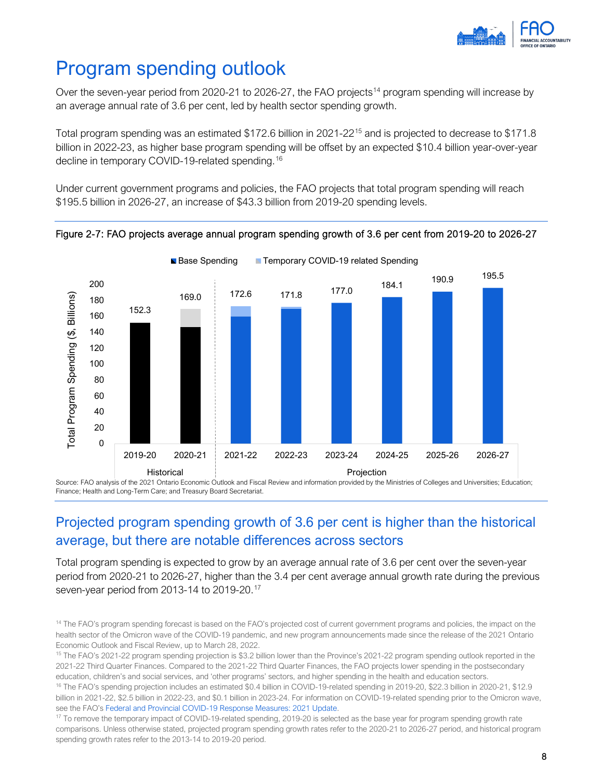

# <span id="page-10-0"></span>Program spending outlook

Over the seven-year period from 2020-21 to 2026-27, the FAO projects<sup>[14](#page-10-1)</sup> program spending will increase by an average annual rate of 3.6 per cent, led by health sector spending growth.

Total program spending was an estimated \$172.6 billion in 2021-22[15](#page-10-2) and is projected to decrease to \$171.8 billion in 2022-23, as higher base program spending will be offset by an expected \$10.4 billion year-over-year decline in temporary COVID-19-related spending. [16](#page-10-3)

Under current government programs and policies, the FAO projects that total program spending will reach \$195.5 billion in 2026-27, an increase of \$43.3 billion from 2019-20 spending levels.



Figure 2-7: FAO projects average annual program spending growth of 3.6 per cent from 2019-20 to 2026-27

Source: FAO analysis of the 2021 Ontario Economic Outlook and Fiscal Review and information provided by the Ministries of Colleges and Universities; Education; Finance; Health and Long-Term Care; and Treasury Board Secretariat.

## Projected program spending growth of 3.6 per cent is higher than the historical average, but there are notable differences across sectors

Total program spending is expected to grow by an average annual rate of 3.6 per cent over the seven-year period from 2020-21 to 2026-27, higher than the 3.4 per cent average annual growth rate during the previous seven-year period from 2013-14 to 2019-20.[17](#page-10-4)

<span id="page-10-1"></span><sup>&</sup>lt;sup>14</sup> The FAO's program spending forecast is based on the FAO's projected cost of current government programs and policies, the impact on the health sector of the Omicron wave of the COVID-19 pandemic, and new program announcements made since the release of the 2021 Ontario Economic Outlook and Fiscal Review, up to March 28, 2022.<br><sup>15</sup> The FAO's 2021-22 program spending projection is \$3.2 billion lower than the Province's 2021-22 program spending outlook reported in the

<span id="page-10-2"></span><sup>2021-22</sup> Third Quarter Finances. Compared to the 2021-22 Third Quarter Finances, the FAO projects lower spending in the postsecondary education, children's and social services, and 'other programs' sectors, and higher spending in the health and education sectors.<br><sup>16</sup> The FAO's spending projection includes an estimated \$0.4 billion in COVID-19-related sp

<span id="page-10-3"></span>billion in 2021-22, \$2.5 billion in 2022-23, and \$0.1 billion in 2023-24. For information on COVID-19-related spending prior to the Omicron wave, see the FAO's Federal and Provincial COVID-19 Response Measures: 2021 Update.<br><sup>17</sup> To remove the temporary impact of COVID-19-related spending, 2019-20 is selected as the base year for program spending growth rate

<span id="page-10-4"></span>comparisons. Unless otherwise stated, projected program spending growth rates refer to the 2020-21 to 2026-27 period, and historical program spending growth rates refer to the 2013-14 to 2019-20 period.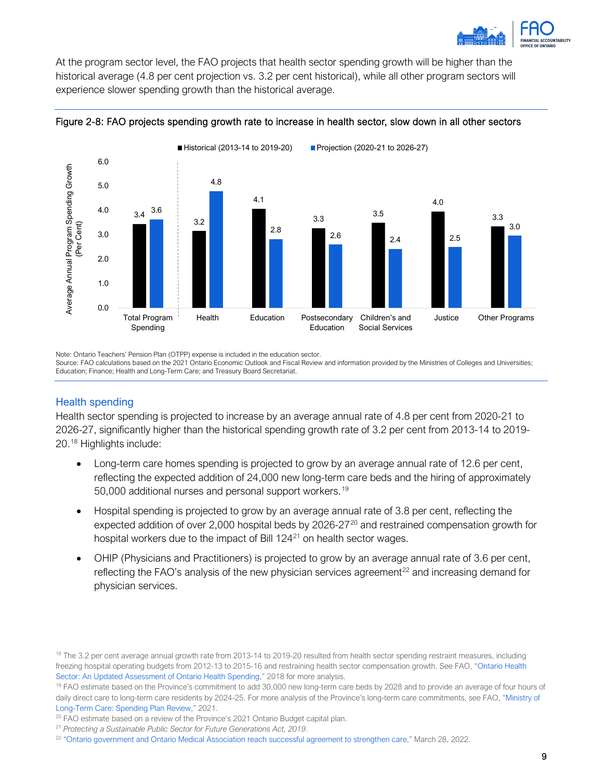

At the program sector level, the FAO projects that health sector spending growth will be higher than the historical average (4.8 per cent projection vs. 3.2 per cent historical), while all other program sectors will experience slower spending growth than the historical average.





Note: Ontario Teachers' Pension Plan (OTPP) expense is included in the education sector.

Source: FAO calculations based on the 2021 Ontario Economic Outlook and Fiscal Review and information provided by the Ministries of Colleges and Universities; Education; Finance; Health and Long-Term Care; and Treasury Board Secretariat.

#### Health spending

Health sector spending is projected to increase by an average annual rate of 4.8 per cent from 2020-21 to 2026-27, significantly higher than the historical spending growth rate of 3.2 per cent from 2013-14 to 2019- 20.[18](#page-11-0) Highlights include:

- Long-term care homes spending is projected to grow by an average annual rate of 12.6 per cent, reflecting the expected addition of 24,000 new long-term care beds and the hiring of approximately 50,000 additional nurses and personal support workers.<sup>[19](#page-11-1)</sup>
- Hospital spending is projected to grow by an average annual rate of 3.8 per cent, reflecting the expected addition of over 2,000 hospital beds by [20](#page-11-2)26-27<sup>20</sup> and restrained compensation growth for hospital workers due to the impact of Bill 124<sup>[21](#page-11-3)</sup> on health sector wages.
- OHIP (Physicians and Practitioners) is projected to grow by an average annual rate of 3.6 per cent, reflecting the FAO's analysis of the new physician services agreement<sup>[22](#page-11-4)</sup> and increasing demand for physician services.

<span id="page-11-1"></span><sup>19</sup> FAO estimate based on the Province's commitment to add 30,000 new long-term care beds by 2028 and to provide an average of four hours of daily direct care to long-term care residents by 2024-25. For more analysis of the Province's long-term care commitments, see FAO, ["Ministry of](https://fao-on.org/en/Blog/Publications/2021-ltc-estimates)  [Long-Term Care: Spending Plan Review,](https://fao-on.org/en/Blog/Publications/2021-ltc-estimates)" 2021.<br><sup>20</sup> FAO estimate based on a review of the Province's 2021 Ontario Budget capital plan.<br><sup>21</sup> Protecting a Sustainable Public Sector for Future Generations Act, 2019.<br><sup>22</sup> "Ontar

<span id="page-11-0"></span><sup>&</sup>lt;sup>18</sup> The 3.2 per cent average annual growth rate from 2013-14 to 2019-20 resulted from health sector spending restraint measures, including freezing hospital operating budgets from 2012-13 to 2015-16 and restraining health sector compensation growth. See FAO, ["Ontario Health](https://fao-on.org/en/Blog/Publications/health-sector-march-18#How%20does%20the%20Province%20plan%20to%20continue%20restraining%20the%20growth%20of%20health%20spending%20to%20below%20its%20core%20cost%20drivers)  [Sector: An Updated Assessment of Ontario Health Spending,"](https://fao-on.org/en/Blog/Publications/health-sector-march-18#How%20does%20the%20Province%20plan%20to%20continue%20restraining%20the%20growth%20of%20health%20spending%20to%20below%20its%20core%20cost%20drivers) 2018 for more analysis.

<span id="page-11-2"></span>

<span id="page-11-4"></span><span id="page-11-3"></span>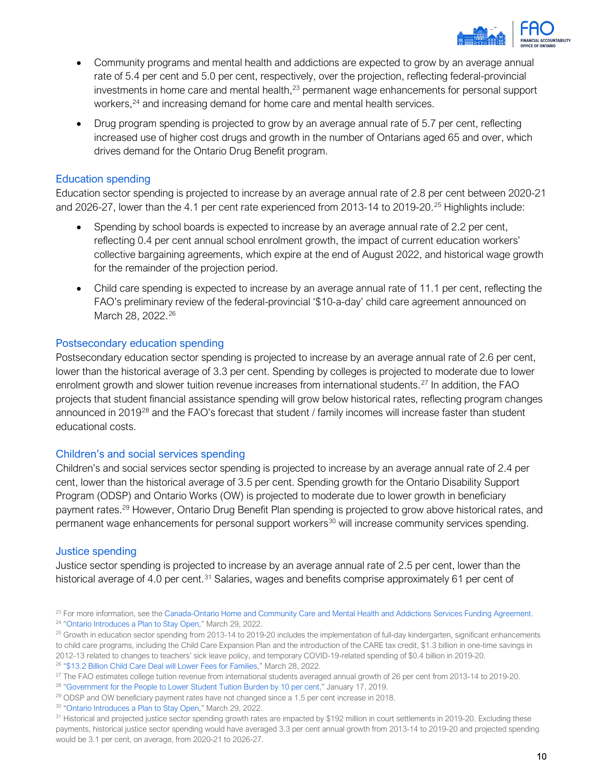

- Community programs and mental health and addictions are expected to grow by an average annual rate of 5.4 per cent and 5.0 per cent, respectively, over the projection, reflecting federal-provincial investments in home care and mental health, $^{23}$  $^{23}$  $^{23}$  permanent wage enhancements for personal support workers,<sup>[24](#page-12-1)</sup> and increasing demand for home care and mental health services.
- Drug program spending is projected to grow by an average annual rate of 5.7 per cent, reflecting increased use of higher cost drugs and growth in the number of Ontarians aged 65 and over, which drives demand for the Ontario Drug Benefit program.

#### Education spending

Education sector spending is projected to increase by an average annual rate of 2.8 per cent between 2020-21 and 2026-27, lower than the 4.1 per cent rate experienced from 2013-14 to 2019-20.<sup>[25](#page-12-2)</sup> Highlights include:

- Spending by school boards is expected to increase by an average annual rate of 2.2 per cent, reflecting 0.4 per cent annual school enrolment growth, the impact of current education workers' collective bargaining agreements, which expire at the end of August 2022, and historical wage growth for the remainder of the projection period.
- Child care spending is expected to increase by an average annual rate of 11.1 per cent, reflecting the FAO's preliminary review of the federal-provincial '\$10-a-day' child care agreement announced on March 28, 2022.<sup>[26](#page-12-3)</sup>

#### Postsecondary education spending

Postsecondary education sector spending is projected to increase by an average annual rate of 2.6 per cent, lower than the historical average of 3.3 per cent. Spending by colleges is projected to moderate due to lower enrolment growth and slower tuition revenue increases from international students.<sup>[27](#page-12-4)</sup> In addition, the FAO projects that student financial assistance spending will grow below historical rates, reflecting program changes announced in 2019<sup>[28](#page-12-5)</sup> and the FAO's forecast that student / family incomes will increase faster than student educational costs.

#### Children's and social services spending

Children's and social services sector spending is projected to increase by an average annual rate of 2.4 per cent, lower than the historical average of 3.5 per cent. Spending growth for the Ontario Disability Support Program (ODSP) and Ontario Works (OW) is projected to moderate due to lower growth in beneficiary payment rates[.29](#page-12-6) However, Ontario Drug Benefit Plan spending is projected to grow above historical rates, and permanent wage enhancements for personal support workers<sup>[30](#page-12-7)</sup> will increase community services spending.

#### Justice spending

Justice sector spending is projected to increase by an average annual rate of 2.5 per cent, lower than the historical average of 4.0 per cent.<sup>[31](#page-12-8)</sup> Salaries, wages and benefits comprise approximately 61 per cent of

<span id="page-12-1"></span><span id="page-12-0"></span><sup>23</sup> For more information, see th[e Canada-Ontario Home and Community Care and Mental Health and Addictions Services Funding Agreement.](https://www.canada.ca/en/health-canada/corporate/transparency/health-agreements/shared-health-priorities/ontario.html) <sup>24</sup> ["Ontario Introduces a Plan to Stay Open,](https://news.ontario.ca/en/release/1001878/ontario-introduces-a-plan-to-stay-open)" March 29, 2022.

<span id="page-12-2"></span> $25$  Growth in education sector spending from 2013-14 to 2019-20 includes the implementation of full-day kindergarten, significant enhancements to child care programs, including the Child Care Expansion Plan and the introduction of the CARE tax credit, \$1.3 billion in one-time savings in 2012-13 related to changes to teachers' sick leave policy, and temporary COVID-19-related spending of \$0.4 billion in 2019-20. <sup>26</sup> ["\\$13.2 Billion Child Care Deal will Lower Fees for Families,"](https://news.ontario.ca/en/release/1001868/132-billion-child-care-deal-will-lower-fees-for-families) March 28, 2022.

<span id="page-12-4"></span><span id="page-12-3"></span><sup>&</sup>lt;sup>27</sup> The FAO estimates college tuition revenue from international students averaged annual growth of 26 per cent from 2013-14 to 2019-20.<br><sup>28</sup> ["Government for the People to Lower Student Tuition Burden by 10 per cent,"](https://news.ontario.ca/en/release/50954/government-for-the-people-to-lower-student-tuition-burden-by-10-per-cent) Ja

<span id="page-12-6"></span><span id="page-12-5"></span><sup>&</sup>lt;sup>29</sup> ODSP and OW beneficiary payment rates have not changed since a 1.5 per cent increase in 2018.

<span id="page-12-7"></span><sup>&</sup>lt;sup>30</sup> ["Ontario Introduces a Plan to Stay Open,](https://news.ontario.ca/en/release/1001878/ontario-introduces-a-plan-to-stay-open)" March 29, 2022.

<span id="page-12-8"></span><sup>&</sup>lt;sup>31</sup> Historical and projected justice sector spending growth rates are impacted by \$192 million in court settlements in 2019-20. Excluding these payments, historical justice sector spending would have averaged 3.3 per cent annual growth from 2013-14 to 2019-20 and projected spending would be 3.1 per cent, on average, from 2020-21 to 2026-27.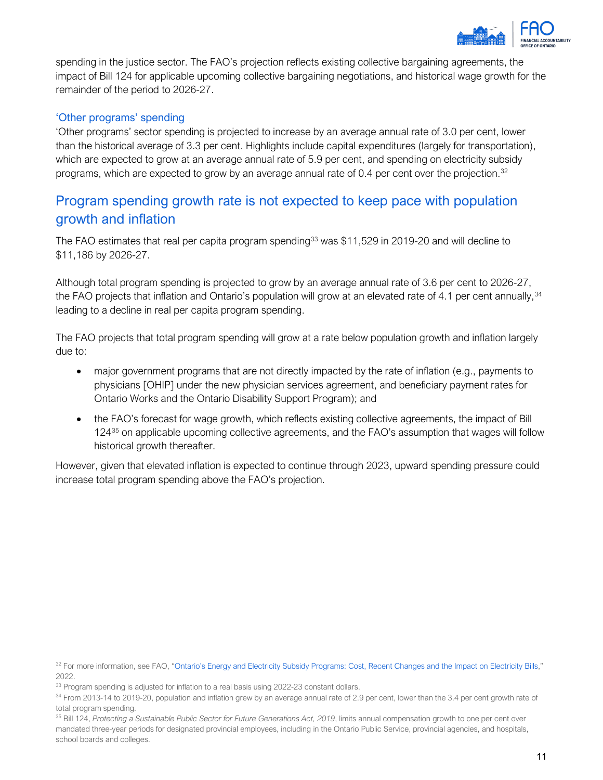

spending in the justice sector. The FAO's projection reflects existing collective bargaining agreements, the impact of Bill 124 for applicable upcoming collective bargaining negotiations, and historical wage growth for the remainder of the period to 2026-27.

#### 'Other programs' spending

'Other programs' sector spending is projected to increase by an average annual rate of 3.0 per cent, lower than the historical average of 3.3 per cent. Highlights include capital expenditures (largely for transportation), which are expected to grow at an average annual rate of 5.9 per cent, and spending on electricity subsidy programs, which are expected to grow by an average annual rate of 0.4 per cent over the projection.<sup>[32](#page-13-0)</sup>

### Program spending growth rate is not expected to keep pace with population growth and inflation

The FAO estimates that real per capita program spending<sup>[33](#page-13-1)</sup> was \$11,529 in 2019-20 and will decline to \$11,186 by 2026-27.

Although total program spending is projected to grow by an average annual rate of 3.6 per cent to 2026-27, the FAO projects that inflation and Ontario's population will grow at an elevated rate of 4.1 per cent annually, [34](#page-13-2) leading to a decline in real per capita program spending.

The FAO projects that total program spending will grow at a rate below population growth and inflation largely due to:

- major government programs that are not directly impacted by the rate of inflation (e.g., payments to physicians [OHIP] under the new physician services agreement, and beneficiary payment rates for Ontario Works and the Ontario Disability Support Program); and
- the FAO's forecast for wage growth, which reflects existing collective agreements, the impact of Bill 124[35](#page-13-3) on applicable upcoming collective agreements, and the FAO's assumption that wages will follow historical growth thereafter.

However, given that elevated inflation is expected to continue through 2023, upward spending pressure could increase total program spending above the FAO's projection.

<span id="page-13-0"></span><sup>&</sup>lt;sup>32</sup> For more information, see FAO, ["Ontario's Energy and Electricity Subsidy Programs: Cost, Recent Changes and the Impact on Electricity Bills,"](https://www.fao-on.org/en/Blog/Publications/energy-and-electricity-2022) 2022.

<span id="page-13-1"></span><sup>&</sup>lt;sup>33</sup> Program spending is adjusted for inflation to a real basis using 2022-23 constant dollars.

<span id="page-13-2"></span><sup>&</sup>lt;sup>34</sup> From 2013-14 to 2019-20, population and inflation grew by an average annual rate of 2.9 per cent, lower than the 3.4 per cent growth rate of total program spending.

<span id="page-13-3"></span><sup>35</sup> Bill 124, *Protecting a Sustainable Public Sector for Future Generations Act, 2019*, limits annual compensation growth to one per cent over mandated three-year periods for designated provincial employees, including in the Ontario Public Service, provincial agencies, and hospitals, school boards and colleges.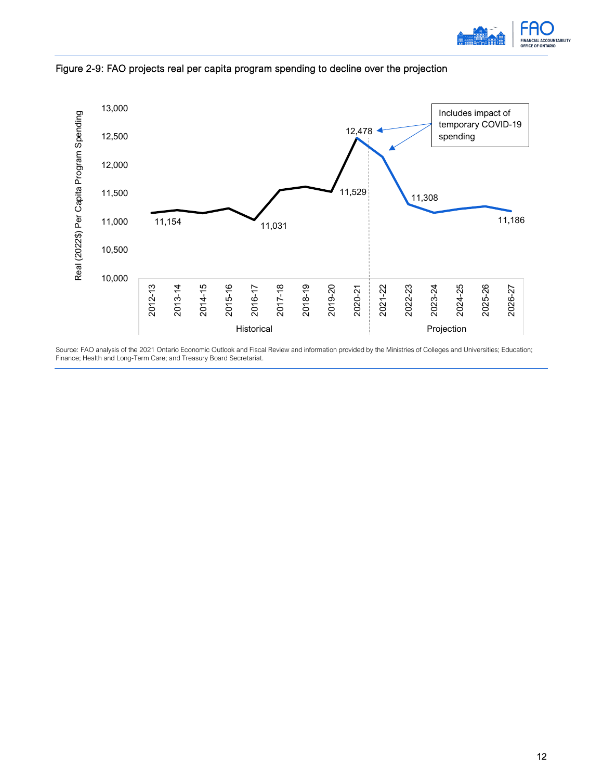



Figure 2-9: FAO projects real per capita program spending to decline over the projection

Source: FAO analysis of the 2021 Ontario Economic Outlook and Fiscal Review and information provided by the Ministries of Colleges and Universities; Education; Finance; Health and Long-Term Care; and Treasury Board Secretariat.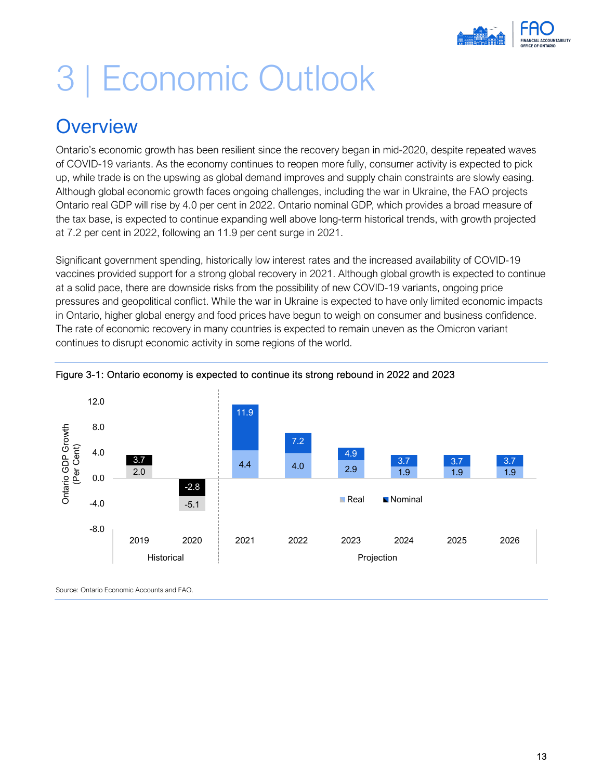

# <span id="page-15-0"></span>3 | Economic Outlook

## <span id="page-15-1"></span>**Overview**

Ontario's economic growth has been resilient since the recovery began in mid-2020, despite repeated waves of COVID-19 variants. As the economy continues to reopen more fully, consumer activity is expected to pick up, while trade is on the upswing as global demand improves and supply chain constraints are slowly easing. Although global economic growth faces ongoing challenges, including the war in Ukraine, the FAO projects Ontario real GDP will rise by 4.0 per cent in 2022. Ontario nominal GDP, which provides a broad measure of the tax base, is expected to continue expanding well above long-term historical trends, with growth projected at 7.2 per cent in 2022, following an 11.9 per cent surge in 2021.

Significant government spending, historically low interest rates and the increased availability of COVID-19 vaccines provided support for a strong global recovery in 2021. Although global growth is expected to continue at a solid pace, there are downside risks from the possibility of new COVID-19 variants, ongoing price pressures and geopolitical conflict. While the war in Ukraine is expected to have only limited economic impacts in Ontario, higher global energy and food prices have begun to weigh on consumer and business confidence. The rate of economic recovery in many countries is expected to remain uneven as the Omicron variant continues to disrupt economic activity in some regions of the world.



#### Figure 3-1: Ontario economy is expected to continue its strong rebound in 2022 and 2023

Source: Ontario Economic Accounts and FAO.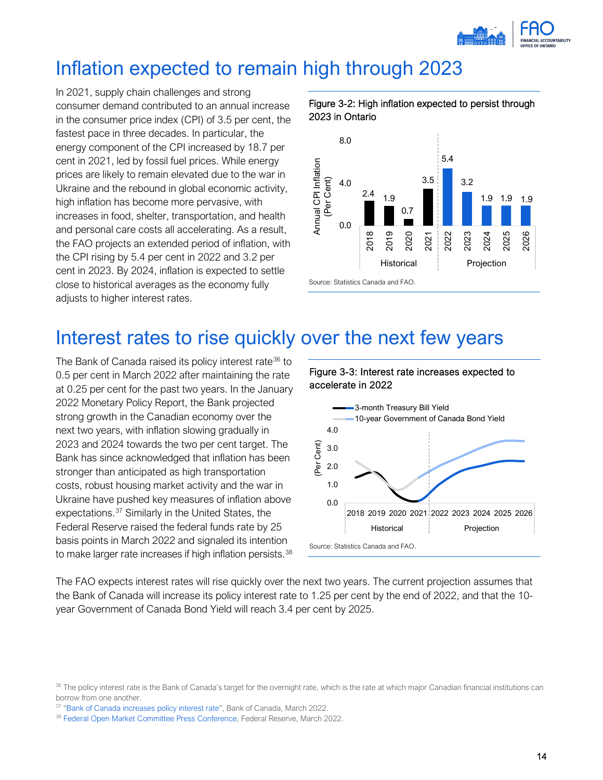

## <span id="page-16-0"></span>Inflation expected to remain high through 2023

In 2021, supply chain challenges and strong consumer demand contributed to an annual increase in the consumer price index (CPI) of 3.5 per cent, the fastest pace in three decades. In particular, the energy component of the CPI increased by 18.7 per cent in 2021, led by fossil fuel prices. While energy prices are likely to remain elevated due to the war in Ukraine and the rebound in global economic activity, high inflation has become more pervasive, with increases in food, shelter, transportation, and health and personal care costs all accelerating. As a result, the FAO projects an extended period of inflation, with the CPI rising by 5.4 per cent in 2022 and 3.2 per cent in 2023. By 2024, inflation is expected to settle close to historical averages as the economy fully adjusts to higher interest rates.





## <span id="page-16-1"></span>Interest rates to rise quickly over the next few years

The Bank of Canada raised its policy interest rate<sup>[36](#page-16-2)</sup> to 0.5 per cent in March 2022 after maintaining the rate at 0.25 per cent for the past two years. In the January 2022 Monetary Policy Report, the Bank projected strong growth in the Canadian economy over the next two years, with inflation slowing gradually in 2023 and 2024 towards the two per cent target. The Bank has since acknowledged that inflation has been stronger than anticipated as high transportation costs, robust housing market activity and the war in Ukraine have pushed key measures of inflation above expectations. [37](#page-16-3) Similarly in the United States, the Federal Reserve raised the federal funds rate by 25 basis points in March 2022 and signaled its intention to make larger rate increases if high inflation persists.<sup>[38](#page-16-4)</sup>





The FAO expects interest rates will rise quickly over the next two years. The current projection assumes that the Bank of Canada will increase its policy interest rate to 1.25 per cent by the end of 2022, and that the 10 year Government of Canada Bond Yield will reach 3.4 per cent by 2025.

<span id="page-16-2"></span><sup>&</sup>lt;sup>36</sup> The policy interest rate is the Bank of Canada's target for the overnight rate, which is the rate at which major Canadian financial institutions can borrow from one another.

<span id="page-16-3"></span><sup>37</sup> ["Bank of Canada increases policy interest rate"](https://www.bankofcanada.ca/2022/03/fad-press-release-2022-03-02/), Bank of Canada, March 2022.

<span id="page-16-4"></span><sup>38</sup> [Federal Open Market Committee Press Conference,](https://www.federalreserve.gov/monetarypolicy/fomcpresconf20220316.htm) Federal Reserve, March 2022.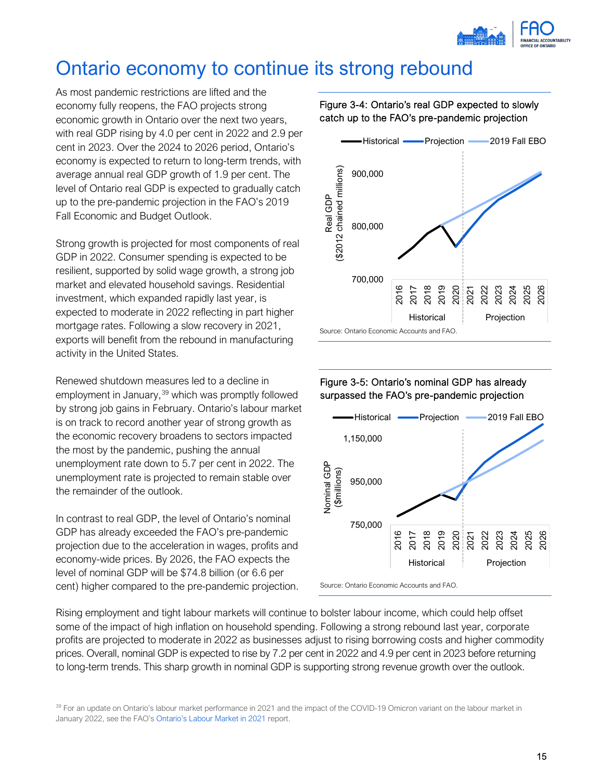

# <span id="page-17-0"></span>Ontario economy to continue its strong rebound

As most pandemic restrictions are lifted and the economy fully reopens, the FAO projects strong economic growth in Ontario over the next two years, with real GDP rising by 4.0 per cent in 2022 and 2.9 per cent in 2023. Over the 2024 to 2026 period, Ontario's economy is expected to return to long-term trends, with average annual real GDP growth of 1.9 per cent. The level of Ontario real GDP is expected to gradually catch up to the pre-pandemic projection in the FAO's 2019 Fall Economic and Budget Outlook.

Strong growth is projected for most components of real GDP in 2022. Consumer spending is expected to be resilient, supported by solid wage growth, a strong job market and elevated household savings. Residential investment, which expanded rapidly last year, is expected to moderate in 2022 reflecting in part higher mortgage rates. Following a slow recovery in 2021, exports will benefit from the rebound in manufacturing activity in the United States.

Renewed shutdown measures led to a decline in employment in January, [39](#page-17-1) which was promptly followed by strong job gains in February. Ontario's labour market is on track to record another year of strong growth as the economic recovery broadens to sectors impacted the most by the pandemic, pushing the annual unemployment rate down to 5.7 per cent in 2022. The unemployment rate is projected to remain stable over the remainder of the outlook.

In contrast to real GDP, the level of Ontario's nominal GDP has already exceeded the FAO's pre-pandemic projection due to the acceleration in wages, profits and economy-wide prices. By 2026, the FAO expects the level of nominal GDP will be \$74.8 billion (or 6.6 per cent) higher compared to the pre-pandemic projection.

#### Figure 3-4: Ontario's real GDP expected to slowly catch up to the FAO's pre-pandemic projection



#### Figure 3-5: Ontario's nominal GDP has already surpassed the FAO's pre-pandemic projection



Source: Ontario Economic Accounts and FAO.

Rising employment and tight labour markets will continue to bolster labour income, which could help offset some of the impact of high inflation on household spending. Following a strong rebound last year, corporate profits are projected to moderate in 2022 as businesses adjust to rising borrowing costs and higher commodity prices. Overall, nominal GDP is expected to rise by 7.2 per cent in 2022 and 4.9 per cent in 2023 before returning to long-term trends. This sharp growth in nominal GDP is supporting strong revenue growth over the outlook.

<span id="page-17-1"></span><sup>39</sup> For an update on Ontario's labour market performance in 2021 and the impact of the COVID-19 Omicron variant on the labour market in January 2022, see the FAO'[s Ontario's Labour Market in 2021](https://fao-on.org/en/Blog/Publications/labour-market-2022) report.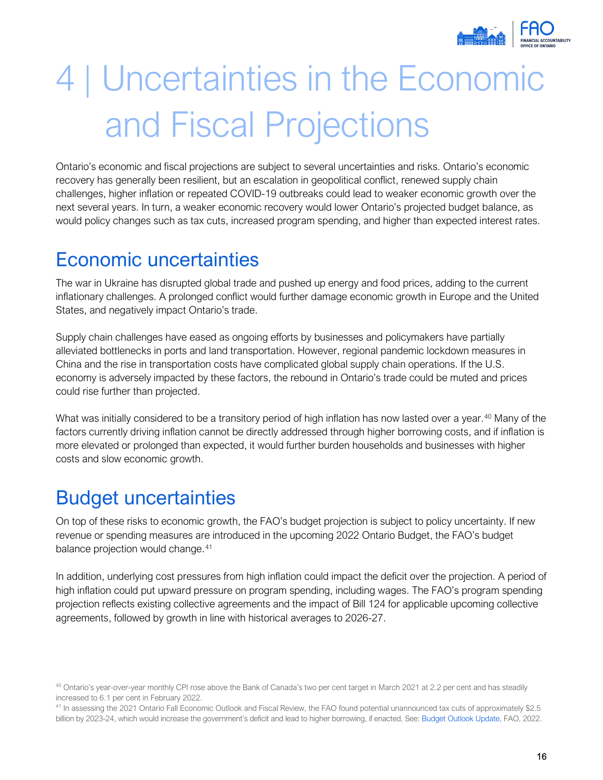

# <span id="page-18-0"></span>4 | Uncertainties in the Economic and Fiscal Projections

Ontario's economic and fiscal projections are subject to several uncertainties and risks. Ontario's economic recovery has generally been resilient, but an escalation in geopolitical conflict, renewed supply chain challenges, higher inflation or repeated COVID-19 outbreaks could lead to weaker economic growth over the next several years. In turn, a weaker economic recovery would lower Ontario's projected budget balance, as would policy changes such as tax cuts, increased program spending, and higher than expected interest rates.

## <span id="page-18-1"></span>Economic uncertainties

The war in Ukraine has disrupted global trade and pushed up energy and food prices, adding to the current inflationary challenges. A prolonged conflict would further damage economic growth in Europe and the United States, and negatively impact Ontario's trade.

Supply chain challenges have eased as ongoing efforts by businesses and policymakers have partially alleviated bottlenecks in ports and land transportation. However, regional pandemic lockdown measures in China and the rise in transportation costs have complicated global supply chain operations. If the U.S. economy is adversely impacted by these factors, the rebound in Ontario's trade could be muted and prices could rise further than projected.

What was initially considered to be a transitory period of high inflation has now lasted over a year.<sup>[40](#page-18-3)</sup> Many of the factors currently driving inflation cannot be directly addressed through higher borrowing costs, and if inflation is more elevated or prolonged than expected, it would further burden households and businesses with higher costs and slow economic growth.

# <span id="page-18-2"></span>Budget uncertainties

On top of these risks to economic growth, the FAO's budget projection is subject to policy uncertainty. If new revenue or spending measures are introduced in the upcoming 2022 Ontario Budget, the FAO's budget balance projection would change.<sup>41</sup>

In addition, underlying cost pressures from high inflation could impact the deficit over the projection. A period of high inflation could put upward pressure on program spending, including wages. The FAO's program spending projection reflects existing collective agreements and the impact of Bill 124 for applicable upcoming collective agreements, followed by growth in line with historical averages to 2026-27.

<span id="page-18-3"></span><sup>&</sup>lt;sup>40</sup> Ontario's year-over-year monthly CPI rose above the Bank of Canada's two per cent target in March 2021 at 2.2 per cent and has steadily increased to 6.1 per cent in February 2022.<br><sup>41</sup> In assessing the 2021 Ontario Fall Economic Outlook and Fiscal Review, the FAO found potential unannounced tax cuts of approximately \$2.5

<span id="page-18-4"></span>billion by 2023-24, which would increase the government's deficit and lead to higher borrowing, if enacted. See: [Budget Outlook Update,](https://fao-on.org/Blog/Publications/BOU-WI2022) FAO, 2022.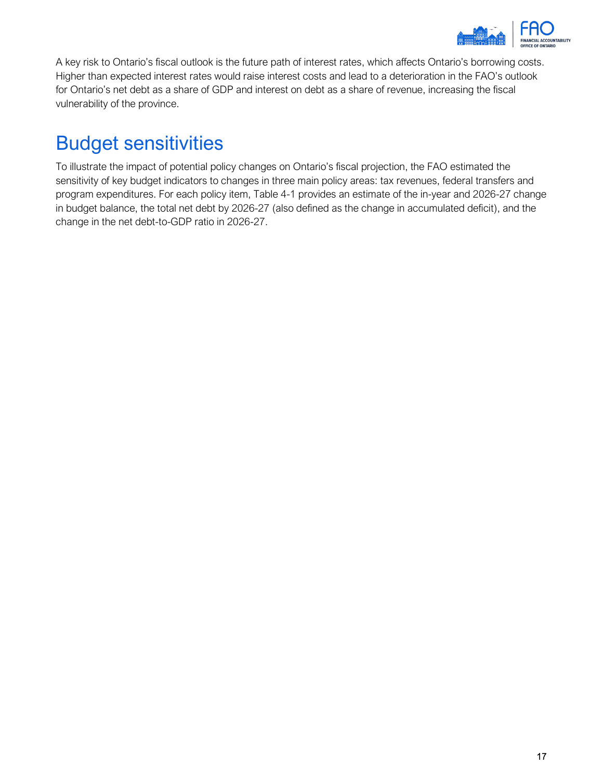

A key risk to Ontario's fiscal outlook is the future path of interest rates, which affects Ontario's borrowing costs. Higher than expected interest rates would raise interest costs and lead to a deterioration in the FAO's outlook for Ontario's net debt as a share of GDP and interest on debt as a share of revenue, increasing the fiscal vulnerability of the province.

# <span id="page-19-0"></span>Budget sensitivities

To illustrate the impact of potential policy changes on Ontario's fiscal projection, the FAO estimated the sensitivity of key budget indicators to changes in three main policy areas: tax revenues, federal transfers and program expenditures. For each policy item, Table 4-1 provides an estimate of the in-year and 2026-27 change in budget balance, the total net debt by 2026-27 (also defined as the change in accumulated deficit), and the change in the net debt-to-GDP ratio in 2026-27.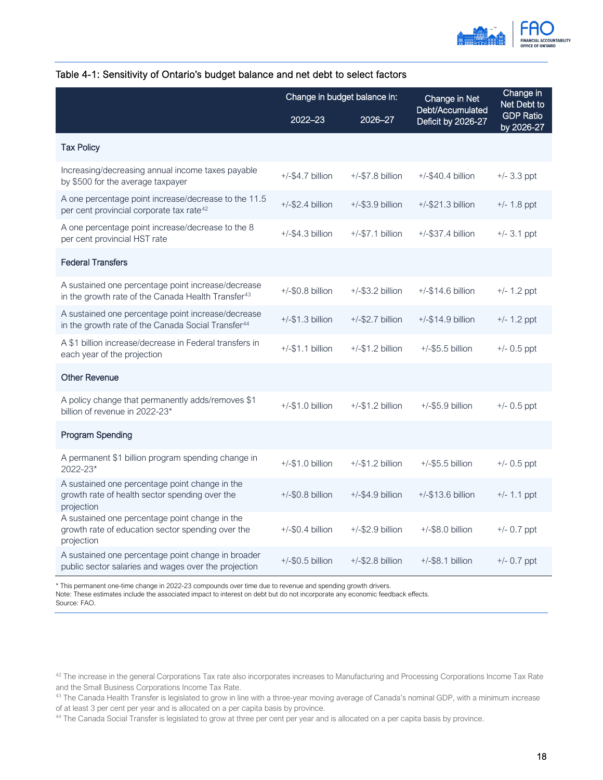

|                                                                                                                      | Change in budget balance in: |                     | Change in Net<br>Debt/Accumulated | Change in<br>Net Debt to       |
|----------------------------------------------------------------------------------------------------------------------|------------------------------|---------------------|-----------------------------------|--------------------------------|
|                                                                                                                      | 2022-23                      | 2026–27             | Deficit by 2026-27                | <b>GDP Ratio</b><br>by 2026-27 |
| <b>Tax Policy</b>                                                                                                    |                              |                     |                                   |                                |
| Increasing/decreasing annual income taxes payable<br>by \$500 for the average taxpayer                               | $+/-$ \$4.7 billion          | $+/-$ \$7.8 billion | $+/-$ \$40.4 billion              | $+/- 3.3$ ppt                  |
| A one percentage point increase/decrease to the 11.5<br>per cent provincial corporate tax rate <sup>42</sup>         | $+/-$ \$2.4 billion          | $+/-$ \$3.9 billion | $+/-$ \$21.3 billion              | $+/- 1.8$ ppt                  |
| A one percentage point increase/decrease to the 8<br>per cent provincial HST rate                                    | $+/-$ \$4.3 billion          | $+/-$ \$7.1 billion | $+/-$ \$37.4 billion              | $+/- 3.1$ ppt                  |
| <b>Federal Transfers</b>                                                                                             |                              |                     |                                   |                                |
| A sustained one percentage point increase/decrease<br>in the growth rate of the Canada Health Transfer <sup>43</sup> | $+/-$ \$0.8 billion          | $+/-$ \$3.2 billion | $+/-$ \$14.6 billion              | $+/- 1.2$ ppt                  |
| A sustained one percentage point increase/decrease<br>in the growth rate of the Canada Social Transfer <sup>44</sup> | $+/-$ \$1.3 billion          | $+/-$ \$2.7 billion | $+/-$ \$14.9 billion              | $+/- 1.2$ ppt                  |
| A \$1 billion increase/decrease in Federal transfers in<br>each year of the projection                               | $+/-$ \$1.1 billion          | $+/-$ \$1.2 billion | $+/-$ \$5.5 billion               | $+/- 0.5$ ppt                  |
| <b>Other Revenue</b>                                                                                                 |                              |                     |                                   |                                |
| A policy change that permanently adds/removes \$1<br>billion of revenue in 2022-23*                                  | $+/-$ \$1.0 billion          | $+/-$ \$1.2 billion | $+/-$ \$5.9 billion               | $+/- 0.5$ ppt                  |
| <b>Program Spending</b>                                                                                              |                              |                     |                                   |                                |
| A permanent \$1 billion program spending change in<br>2022-23*                                                       | $+/-$ \$1.0 billion          | $+/-$ \$1.2 billion | $+/-$ \$5.5 billion               | $+/- 0.5$ ppt                  |
| A sustained one percentage point change in the<br>growth rate of health sector spending over the<br>projection       | $+/-$ \$0.8 billion          | $+/-$ \$4.9 billion | $+/-$ \$13.6 billion              | $+/- 1.1$ ppt                  |
| A sustained one percentage point change in the<br>growth rate of education sector spending over the<br>projection    | $+/-$ \$0.4 billion          | $+/-$ \$2.9 billion | $+/-$ \$8.0 billion               | $+/- 0.7$ ppt                  |
| A sustained one percentage point change in broader<br>public sector salaries and wages over the projection           | $+/-$ \$0.5 billion          | $+/-$ \$2.8 billion | $+/-$ \$8.1 billion               | $+/- 0.7$ ppt                  |

#### Table 4-1: Sensitivity of Ontario's budget balance and net debt to select factors

\* This permanent one-time change in 2022-23 compounds over time due to revenue and spending growth drivers.

Note: These estimates include the associated impact to interest on debt but do not incorporate any economic feedback effects.

Source: FAO.

<span id="page-20-0"></span><sup>42</sup> The increase in the general Corporations Tax rate also incorporates increases to Manufacturing and Processing Corporations Income Tax Rate and the Small Business Corporations Income Tax Rate.

<span id="page-20-1"></span><sup>&</sup>lt;sup>43</sup> The Canada Health Transfer is legislated to grow in line with a three-year moving average of Canada's nominal GDP, with a minimum increase of at least 3 per cent per year and is allocated on a per capita basis by province.<br><sup>44</sup> The Canada Social Transfer is legislated to grow at three per cent per year and is allocated on a per capita basis by province.

<span id="page-20-2"></span>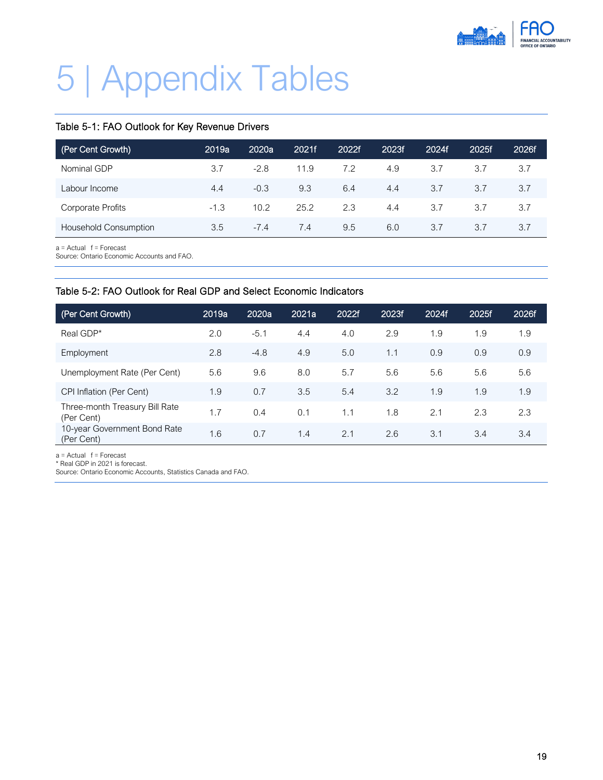

# <span id="page-21-0"></span>5 | Appendix Tables

#### Table 5-1: FAO Outlook for Key Revenue Drivers

| (Per Cent Growth)            | 2019a  | 2020a  | 2021f | 2022f | 2023f | 2024f | 2025f | 2026f |
|------------------------------|--------|--------|-------|-------|-------|-------|-------|-------|
| Nominal GDP                  | 3.7    | $-2.8$ | 11.9  | 7.2   | 4.9   | 3.7   | 3.7   | 3.7   |
| Labour Income                | 4.4    | $-0.3$ | 9.3   | 6.4   | 4.4   | 3.7   | 3.7   | 3.7   |
| Corporate Profits            | $-1.3$ | 10.2   | 25.2  | 2.3   | 4.4   | 3.7   | 3.7   | 3.7   |
| <b>Household Consumption</b> | 3.5    | $-7.4$ | 7.4   | 9.5   | 6.0   | 3.7   | 3.7   | 3.7   |

 $a =$  Actual  $f =$  Forecast

Source: Ontario Economic Accounts and FAO.

#### Table 5-2: FAO Outlook for Real GDP and Select Economic Indicators

| (Per Cent Growth)                            | 2019a | 2020a  | 2021a | 2022f | 2023f | 2024f | 2025f | 2026f |
|----------------------------------------------|-------|--------|-------|-------|-------|-------|-------|-------|
| Real GDP*                                    | 2.0   | $-5.1$ | 4.4   | 4.0   | 2.9   | 1.9   | 1.9   | 1.9   |
| Employment                                   | 2.8   | $-4.8$ | 4.9   | 5.0   | 1.1   | 0.9   | 0.9   | 0.9   |
| Unemployment Rate (Per Cent)                 | 5.6   | 9.6    | 8.0   | 5.7   | 5.6   | 5.6   | 5.6   | 5.6   |
| CPI Inflation (Per Cent)                     | 1.9   | 0.7    | 3.5   | 5.4   | 3.2   | 1.9   | 1.9   | 1.9   |
| Three-month Treasury Bill Rate<br>(Per Cent) | 1.7   | 0.4    | 0.1   | 1.1   | 1.8   | 2.1   | 2.3   | 2.3   |
| 10-year Government Bond Rate<br>(Per Cent)   | 1.6   | 0.7    | 1.4   | 2.1   | 2.6   | 3.1   | 3.4   | 3.4   |

a = Actual f = Forecast

\* Real GDP in 2021 is forecast.

Source: Ontario Economic Accounts, Statistics Canada and FAO.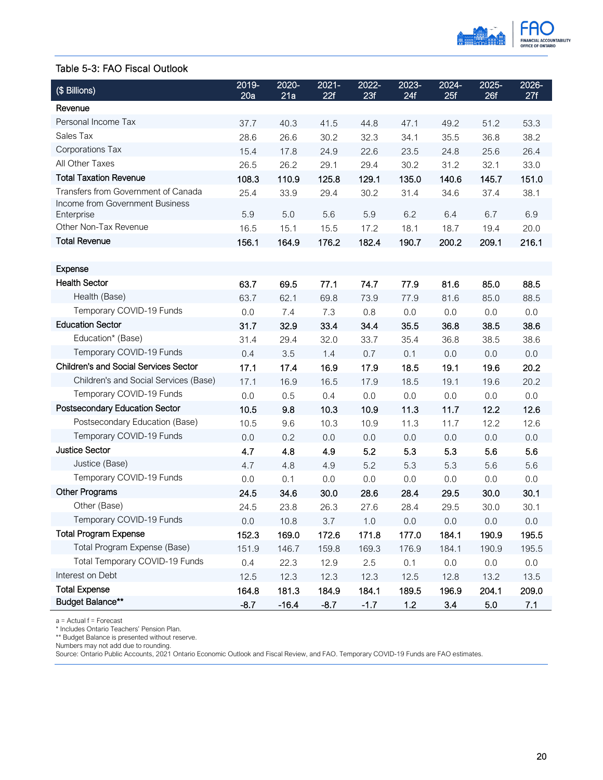

#### Table 5-3: FAO Fiscal Outlook

| (\$ Billions)                                 | 2019-<br>20a | 2020-<br>21a | $2021 -$<br>22f | 2022-<br>23f | 2023-<br>24f | 2024-<br>25f | 2025-<br>26f | 2026-<br>27f |
|-----------------------------------------------|--------------|--------------|-----------------|--------------|--------------|--------------|--------------|--------------|
| Revenue                                       |              |              |                 |              |              |              |              |              |
| Personal Income Tax                           | 37.7         | 40.3         | 41.5            | 44.8         | 47.1         | 49.2         | 51.2         | 53.3         |
| Sales Tax                                     | 28.6         | 26.6         | 30.2            | 32.3         | 34.1         | 35.5         | 36.8         | 38.2         |
| Corporations Tax                              | 15.4         | 17.8         | 24.9            | 22.6         | 23.5         | 24.8         | 25.6         | 26.4         |
| All Other Taxes                               | 26.5         | 26.2         | 29.1            | 29.4         | 30.2         | 31.2         | 32.1         | 33.0         |
| <b>Total Taxation Revenue</b>                 | 108.3        | 110.9        | 125.8           | 129.1        | 135.0        | 140.6        | 145.7        | 151.0        |
| Transfers from Government of Canada           | 25.4         | 33.9         | 29.4            | 30.2         | 31.4         | 34.6         | 37.4         | 38.1         |
| Income from Government Business<br>Enterprise | 5.9          | 5.0          | 5.6             | 5.9          | 6.2          | 6.4          | 6.7          | 6.9          |
| Other Non-Tax Revenue                         | 16.5         | 15.1         | 15.5            | 17.2         | 18.1         | 18.7         | 19.4         | 20.0         |
| <b>Total Revenue</b>                          | 156.1        | 164.9        | 176.2           | 182.4        | 190.7        | 200.2        | 209.1        | 216.1        |
|                                               |              |              |                 |              |              |              |              |              |
| Expense                                       |              |              |                 |              |              |              |              |              |
| <b>Health Sector</b>                          | 63.7         | 69.5         | 77.1            | 74.7         | 77.9         | 81.6         | 85.0         | 88.5         |
| Health (Base)                                 | 63.7         | 62.1         | 69.8            | 73.9         | 77.9         | 81.6         | 85.0         | 88.5         |
| Temporary COVID-19 Funds                      | 0.0          | 7.4          | 7.3             | 0.8          | 0.0          | 0.0          | 0.0          | 0.0          |
| <b>Education Sector</b>                       | 31.7         | 32.9         | 33.4            | 34.4         | 35.5         | 36.8         | 38.5         | 38.6         |
| Education* (Base)                             | 31.4         | 29.4         | 32.0            | 33.7         | 35.4         | 36.8         | 38.5         | 38.6         |
| Temporary COVID-19 Funds                      | 0.4          | 3.5          | 1.4             | 0.7          | 0.1          | 0.0          | 0.0          | 0.0          |
| <b>Children's and Social Services Sector</b>  | 17.1         | 17.4         | 16.9            | 17.9         | 18.5         | 19.1         | 19.6         | 20.2         |
| Children's and Social Services (Base)         | 17.1         | 16.9         | 16.5            | 17.9         | 18.5         | 19.1         | 19.6         | 20.2         |
| Temporary COVID-19 Funds                      | 0.0          | 0.5          | 0.4             | 0.0          | 0.0          | 0.0          | 0.0          | 0.0          |
| Postsecondary Education Sector                | 10.5         | 9.8          | 10.3            | 10.9         | 11.3         | 11.7         | 12.2         | 12.6         |
| Postsecondary Education (Base)                | 10.5         | 9.6          | 10.3            | 10.9         | 11.3         | 11.7         | 12.2         | 12.6         |
| Temporary COVID-19 Funds                      | 0.0          | 0.2          | 0.0             | 0.0          | 0.0          | 0.0          | 0.0          | 0.0          |
| <b>Justice Sector</b>                         | 4.7          | 4.8          | 4.9             | 5.2          | 5.3          | 5.3          | 5.6          | 5.6          |
| Justice (Base)                                | 4.7          | 4.8          | 4.9             | 5.2          | 5.3          | 5.3          | 5.6          | 5.6          |
| Temporary COVID-19 Funds                      | 0.0          | 0.1          | 0.0             | 0.0          | 0.0          | 0.0          | 0.0          | 0.0          |
| Other Programs                                | 24.5         | 34.6         | 30.0            | 28.6         | 28.4         | 29.5         | 30.0         | 30.1         |
| Other (Base)                                  | 24.5         | 23.8         | 26.3            | 27.6         | 28.4         | 29.5         | 30.0         | 30.1         |
| Temporary COVID-19 Funds                      | $0.0\,$      | 10.8         | 3.7             | 1.0          | $0.0\,$      | 0.0          | 0.0          | 0.0          |
| <b>Total Program Expense</b>                  | 152.3        | 169.0        | 172.6           | 171.8        | 177.0        | 184.1        | 190.9        | 195.5        |
| Total Program Expense (Base)                  | 151.9        | 146.7        | 159.8           | 169.3        | 176.9        | 184.1        | 190.9        | 195.5        |
| Total Temporary COVID-19 Funds                | 0.4          | 22.3         | 12.9            | 2.5          | 0.1          | 0.0          | 0.0          | 0.0          |
| Interest on Debt                              | 12.5         | 12.3         | 12.3            | 12.3         | 12.5         | 12.8         | 13.2         | 13.5         |
| <b>Total Expense</b>                          | 164.8        | 181.3        | 184.9           | 184.1        | 189.5        | 196.9        | 204.1        | 209.0        |
| <b>Budget Balance**</b>                       | $-8.7$       | $-16.4$      | $-8.7$          | $-1.7$       | $1.2$        | 3.4          | 5.0          | 7.1          |

a = Actual f = Forecast

\* Includes Ontario Teachers' Pension Plan.

\*\* Budget Balance is presented without reserve.

Numbers may not add due to rounding.

Source: Ontario Public Accounts, 2021 Ontario Economic Outlook and Fiscal Review, and FAO. Temporary COVID-19 Funds are FAO estimates.